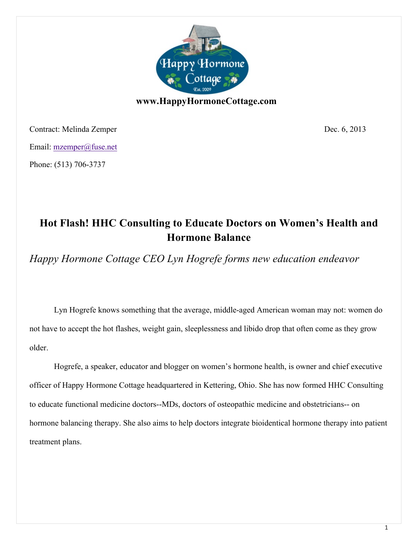

Contract: Melinda Zemper Dec. 6, 2013 Email: mzemper@fuse.net Phone: (513) 706-3737

## **Hot Flash! HHC Consulting to Educate Doctors on Women's Health and Hormone Balance**

*Happy Hormone Cottage CEO Lyn Hogrefe forms new education endeavor*

Lyn Hogrefe knows something that the average, middle-aged American woman may not: women do not have to accept the hot flashes, weight gain, sleeplessness and libido drop that often come as they grow older.

Hogrefe, a speaker, educator and blogger on women's hormone health, is owner and chief executive officer of Happy Hormone Cottage headquartered in Kettering, Ohio. She has now formed HHC Consulting to educate functional medicine doctors--MDs, doctors of osteopathic medicine and obstetricians-- on hormone balancing therapy. She also aims to help doctors integrate bioidentical hormone therapy into patient treatment plans.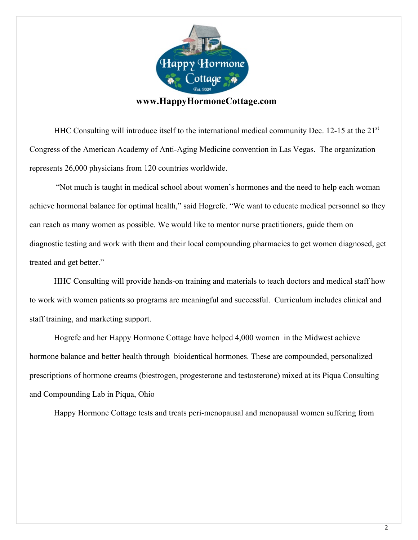

HHC Consulting will introduce itself to the international medical community Dec. 12-15 at the 21<sup>st</sup> Congress of the American Academy of Anti-Aging Medicine convention in Las Vegas. The organization represents 26,000 physicians from 120 countries worldwide.

"Not much is taught in medical school about women's hormones and the need to help each woman achieve hormonal balance for optimal health," said Hogrefe. "We want to educate medical personnel so they can reach as many women as possible. We would like to mentor nurse practitioners, guide them on diagnostic testing and work with them and their local compounding pharmacies to get women diagnosed, get treated and get better."

HHC Consulting will provide hands-on training and materials to teach doctors and medical staff how to work with women patients so programs are meaningful and successful. Curriculum includes clinical and staff training, and marketing support.

Hogrefe and her Happy Hormone Cottage have helped 4,000 women in the Midwest achieve hormone balance and better health through bioidentical hormones. These are compounded, personalized prescriptions of hormone creams (biestrogen, progesterone and testosterone) mixed at its Piqua Consulting and Compounding Lab in Piqua, Ohio

Happy Hormone Cottage tests and treats peri-menopausal and menopausal women suffering from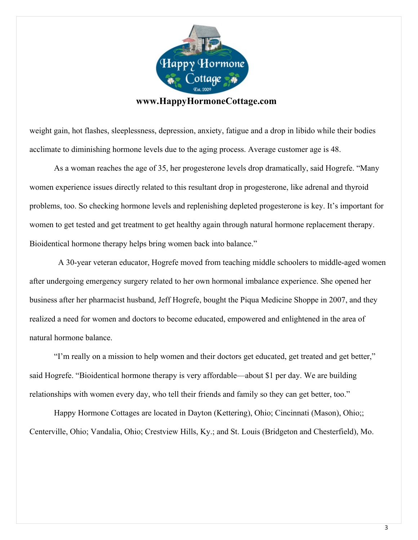

weight gain, hot flashes, sleeplessness, depression, anxiety, fatigue and a drop in libido while their bodies acclimate to diminishing hormone levels due to the aging process. Average customer age is 48.

As a woman reaches the age of 35, her progesterone levels drop dramatically, said Hogrefe. "Many women experience issues directly related to this resultant drop in progesterone, like adrenal and thyroid problems, too. So checking hormone levels and replenishing depleted progesterone is key. It's important for women to get tested and get treatment to get healthy again through natural hormone replacement therapy. Bioidentical hormone therapy helps bring women back into balance."

 A 30-year veteran educator, Hogrefe moved from teaching middle schoolers to middle-aged women after undergoing emergency surgery related to her own hormonal imbalance experience. She opened her business after her pharmacist husband, Jeff Hogrefe, bought the Piqua Medicine Shoppe in 2007, and they realized a need for women and doctors to become educated, empowered and enlightened in the area of natural hormone balance.

"I'm really on a mission to help women and their doctors get educated, get treated and get better," said Hogrefe. "Bioidentical hormone therapy is very affordable—about \$1 per day. We are building relationships with women every day, who tell their friends and family so they can get better, too."

Happy Hormone Cottages are located in Dayton (Kettering), Ohio; Cincinnati (Mason), Ohio;; Centerville, Ohio; Vandalia, Ohio; Crestview Hills, Ky.; and St. Louis (Bridgeton and Chesterfield), Mo.